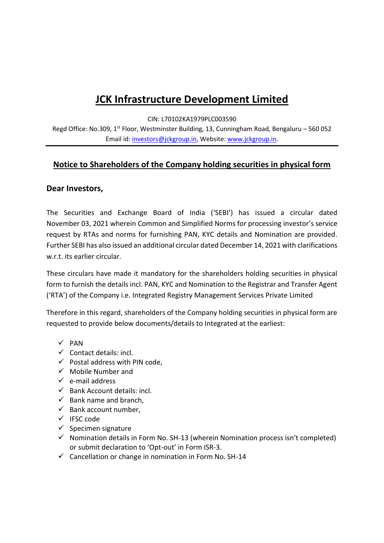## **JCK Infrastructure Development Limited**

CIN: L70102KA1979PLC003590

Regd Office: No.309, 1<sup>st</sup> Floor, Westminster Building, 13, Cunningham Road, Bengaluru – 560 052 Email id[: investors@jckgroup.in,](mailto:investors@jckgroup.in) Website[: www.jckgroup.in.](http://www.jckgroup.in/)

## **Notice to Shareholders of the Company holding securities in physical form**

## **Dear Investors,**

The Securities and Exchange Board of India ('SEBI') has issued a circular dated November 03, 2021 wherein Common and Simplified Norms for processing investor's service request by RTAs and norms for furnishing PAN, KYC details and Nomination are provided. Further SEBI has also issued an additional circular dated December 14, 2021 with clarifications w.r.t. its earlier circular.

These circulars have made it mandatory for the shareholders holding securities in physical form to furnish the details incl. PAN, KYC and Nomination to the Registrar and Transfer Agent ('RTA') of the Company i.e. Integrated Registry Management Services Private Limited

Therefore in this regard, shareholders of the Company holding securities in physical form are requested to provide below documents/details to Integrated at the earliest:

- $\checkmark$  PAN
- $\checkmark$  Contact details: incl.
- $\checkmark$  Postal address with PIN code,
- $\checkmark$  Mobile Number and
- $\checkmark$  e-mail address
- $\checkmark$  Bank Account details: incl.
- $\checkmark$  Bank name and branch.
- $\checkmark$  Bank account number,
- $\checkmark$  IFSC code
- $\checkmark$  Specimen signature
- $\checkmark$  Nomination details in Form No. SH-13 (wherein Nomination process isn't completed) or submit declaration to 'Opt-out' in Form ISR-3.
- $\checkmark$  Cancellation or change in nomination in Form No. SH-14